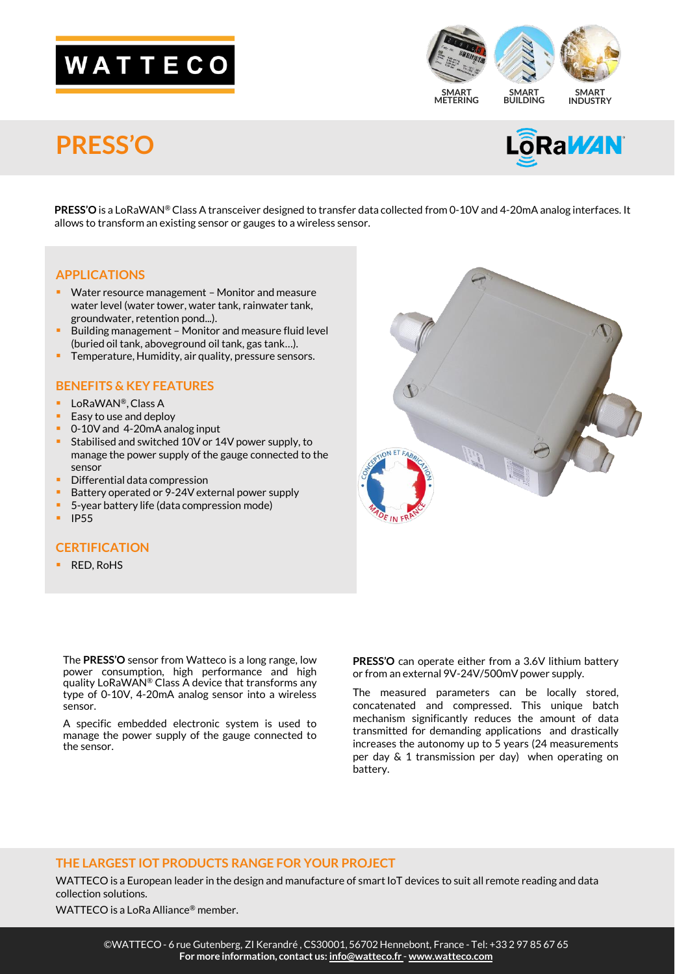# WATTECO



### **PRESS'O**



**PRESS'O** is a LoRaWAN® Class A transceiver designed to transfer data collected from 0-10V and 4-20mA analog interfaces. It allows to transform an existing sensor or gauges to a wireless sensor.

#### **APPLICATIONS**

- Water resource management Monitor and measure water level (water tower, water tank, rainwater tank, groundwater, retention pond...).
- Building management Monitor and measure fluid level (buried oil tank, aboveground oil tank, gas tank…).
- Temperature, Humidity, air quality, pressure sensors.

#### **BENEFITS & KEY FEATURES**

- LoRaWAN®, Class A
- Easy to use and deploy
- 0-10V and 4-20mA analog input
- Stabilised and switched 10V or 14V power supply, to manage the power supply of the gauge connected to the sensor
- Differential data compression
- Battery operated or 9-24V external power supply
- 5-year battery life (data compression mode)
- IP55

#### **CERTIFICATION**

■ RED, RoHS

The **PRESS'O** sensor from Watteco is a long range, low power consumption, high performance and high quality LoRaWAN® Class A device that transforms any type of 0-10V, 4-20mA analog sensor into a wireless sensor.

A specific embedded electronic system is used to manage the power supply of the gauge connected to the sensor.

**PRESS'O** can operate either from a 3.6V lithium battery

concatenated and compressed. This unique batch mechanism significantly reduces the amount of data transmitted for demanding applications and drastically increases the autonomy up to 5 years (24 measurements per day & 1 transmission per day) when operating on battery.

#### **THE LARGEST IOT PRODUCTS RANGE FOR YOUR PROJECT**

WATTECO is a European leader in the design and manufacture of smart IoT devices to suit all remote reading and data collection solutions.

WATTECO is a LoRa Alliance® member.